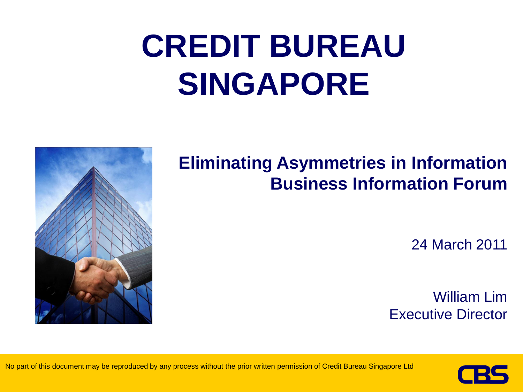# **CREDIT BUREAU SINGAPORE**



#### **Eliminating Asymmetries in Information Business Information Forum**

24 March 2011

William Lim Executive Director

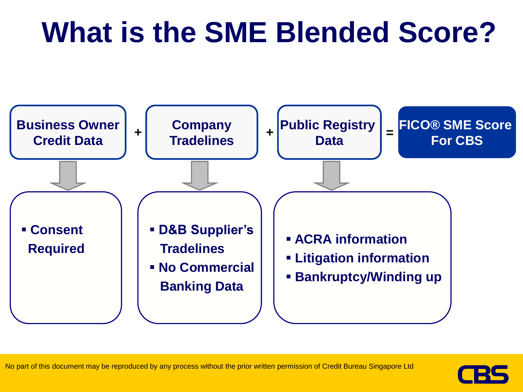### **What is the SME Blended Score?**



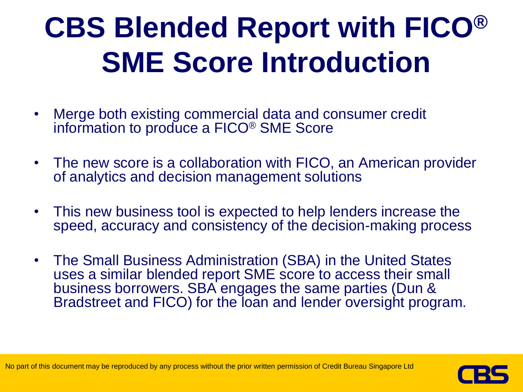# **CBS Blended Report with FICO® SME Score Introduction**

- Merge both existing commercial data and consumer credit information to produce a FICO® SME Score
- The new score is a collaboration with FICO, an American provider of analytics and decision management solutions
- This new business tool is expected to help lenders increase the speed, accuracy and consistency of the decision-making process
- The Small Business Administration (SBA) in the United States uses a similar blended report SME score to access their small business borrowers. SBA engages the same parties (Dun & Bradstreet and FICO) for the loan and lender oversight program.

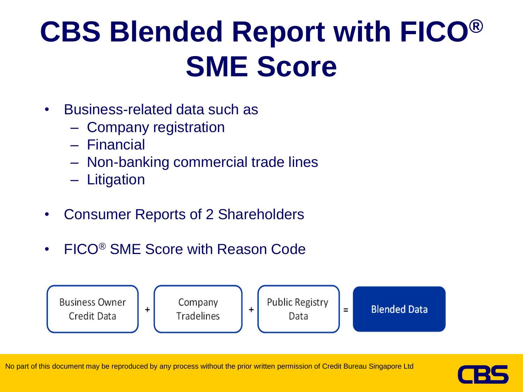# **CBS Blended Report with FICO® SME Score**

- Business-related data such as
	- Company registration
	- Financial
	- Non-banking commercial trade lines
	- Litigation
- Consumer Reports of 2 Shareholders
- FICO® SME Score with Reason Code



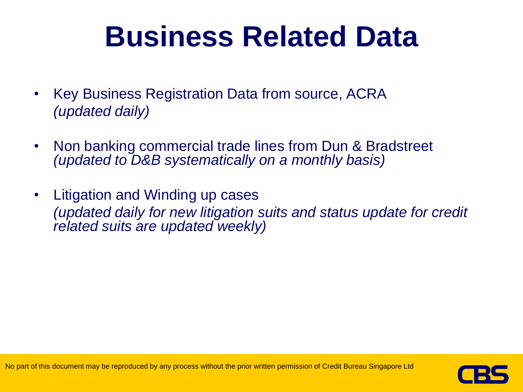### **Business Related Data**

- Key Business Registration Data from source, ACRA *(updated daily)*
- Non banking commercial trade lines from Dun & Bradstreet *(updated to D&B systematically on a monthly basis)*
- Litigation and Winding up cases *(updated daily for new litigation suits and status update for credit related suits are updated weekly)*

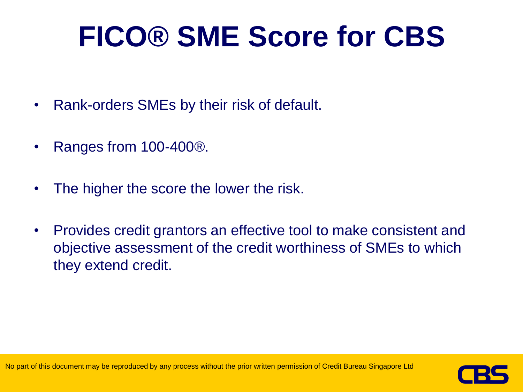# **FICO® SME Score for CBS**

- Rank-orders SMEs by their risk of default.
- Ranges from 100-400®.
- The higher the score the lower the risk.
- Provides credit grantors an effective tool to make consistent and objective assessment of the credit worthiness of SMEs to which they extend credit.

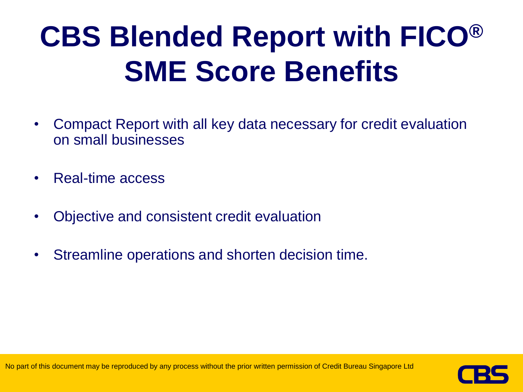# **CBS Blended Report with FICO® SME Score Benefits**

- Compact Report with all key data necessary for credit evaluation on small businesses
- Real-time access
- Objective and consistent credit evaluation
- Streamline operations and shorten decision time.

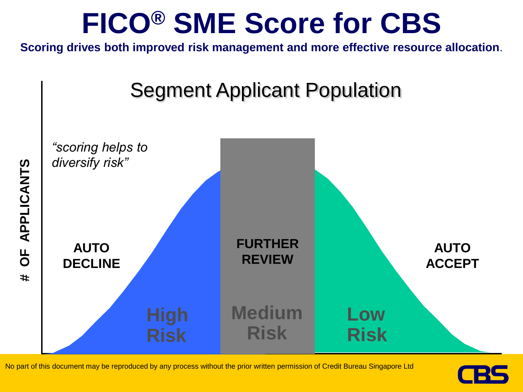#### **FICO® SME Score for CBS**

**Scoring drives both improved risk management and more effective resource allocation**.

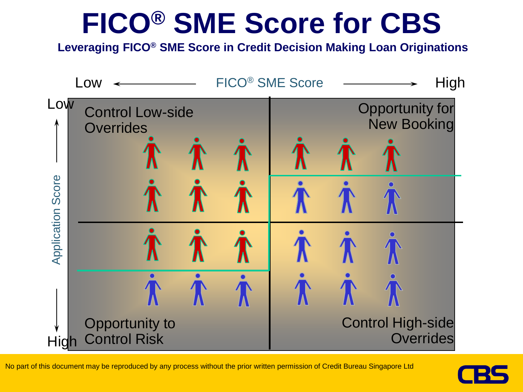### **FICO® SME Score for CBS**

**Leveraging FICO® SME Score in Credit Decision Making Loan Originations**